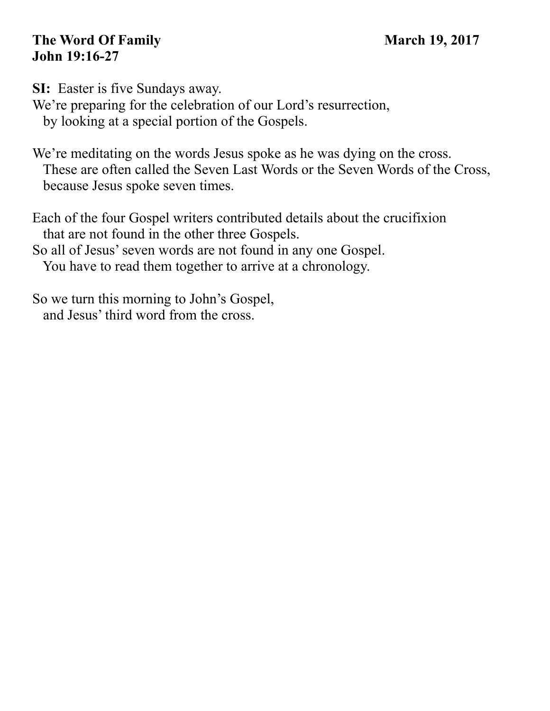## **The Word Of Family March 19, 2017 John 19:16-27**

**SI:** Easter is five Sundays away. We're preparing for the celebration of our Lord's resurrection, by looking at a special portion of the Gospels.

We're meditating on the words Jesus spoke as he was dying on the cross. These are often called the Seven Last Words or the Seven Words of the Cross, because Jesus spoke seven times.

Each of the four Gospel writers contributed details about the crucifixion that are not found in the other three Gospels.

So all of Jesus' seven words are not found in any one Gospel. You have to read them together to arrive at a chronology.

So we turn this morning to John's Gospel, and Jesus' third word from the cross.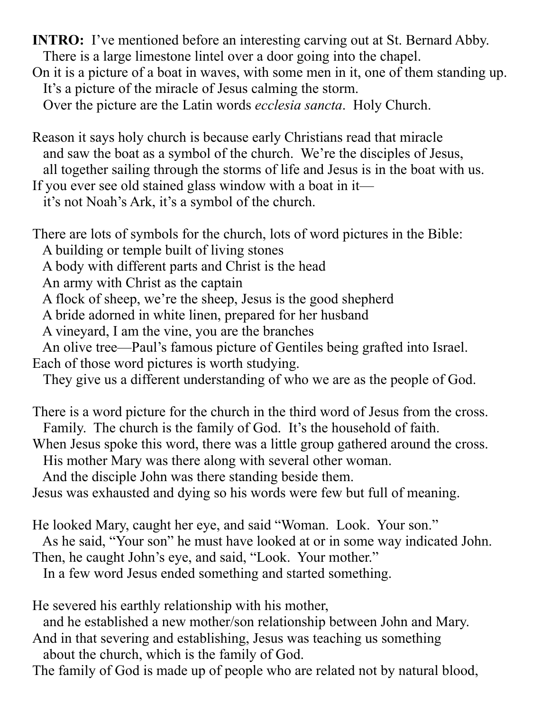**INTRO:** I've mentioned before an interesting carving out at St. Bernard Abby. There is a large limestone lintel over a door going into the chapel. On it is a picture of a boat in waves, with some men in it, one of them standing up. It's a picture of the miracle of Jesus calming the storm.

Over the picture are the Latin words *ecclesia sancta*. Holy Church.

Reason it says holy church is because early Christians read that miracle and saw the boat as a symbol of the church. We're the disciples of Jesus, all together sailing through the storms of life and Jesus is in the boat with us. If you ever see old stained glass window with a boat in it—

it's not Noah's Ark, it's a symbol of the church.

There are lots of symbols for the church, lots of word pictures in the Bible:

A building or temple built of living stones

A body with different parts and Christ is the head

An army with Christ as the captain

A flock of sheep, we're the sheep, Jesus is the good shepherd

A bride adorned in white linen, prepared for her husband

A vineyard, I am the vine, you are the branches

 An olive tree—Paul's famous picture of Gentiles being grafted into Israel. Each of those word pictures is worth studying.

They give us a different understanding of who we are as the people of God.

There is a word picture for the church in the third word of Jesus from the cross. Family. The church is the family of God. It's the household of faith.

When Jesus spoke this word, there was a little group gathered around the cross. His mother Mary was there along with several other woman.

And the disciple John was there standing beside them.

Jesus was exhausted and dying so his words were few but full of meaning.

He looked Mary, caught her eye, and said "Woman. Look. Your son."

As he said, "Your son" he must have looked at or in some way indicated John.

Then, he caught John's eye, and said, "Look. Your mother."

In a few word Jesus ended something and started something.

He severed his earthly relationship with his mother,

and he established a new mother/son relationship between John and Mary.

And in that severing and establishing, Jesus was teaching us something about the church, which is the family of God.

The family of God is made up of people who are related not by natural blood,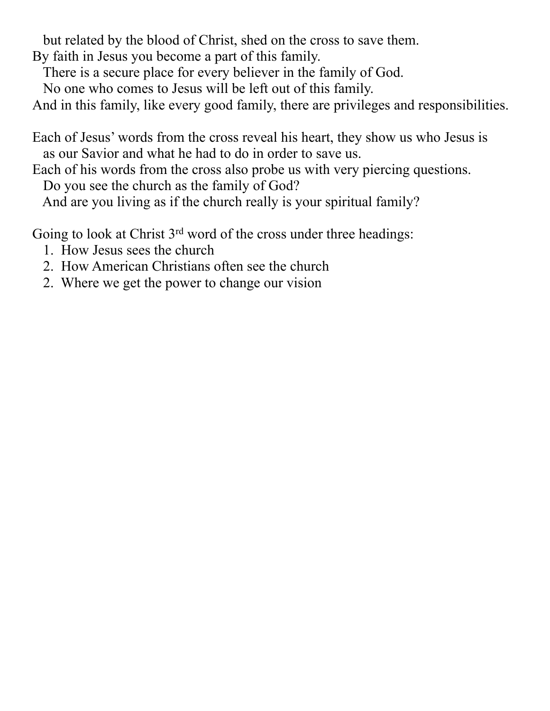but related by the blood of Christ, shed on the cross to save them.

By faith in Jesus you become a part of this family.

There is a secure place for every believer in the family of God.

No one who comes to Jesus will be left out of this family.

And in this family, like every good family, there are privileges and responsibilities.

Each of Jesus' words from the cross reveal his heart, they show us who Jesus is as our Savior and what he had to do in order to save us.

Each of his words from the cross also probe us with very piercing questions. Do you see the church as the family of God?

And are you living as if the church really is your spiritual family?

Going to look at Christ 3<sup>rd</sup> word of the cross under three headings:

- 1. How Jesus sees the church
- 2. How American Christians often see the church
- 2. Where we get the power to change our vision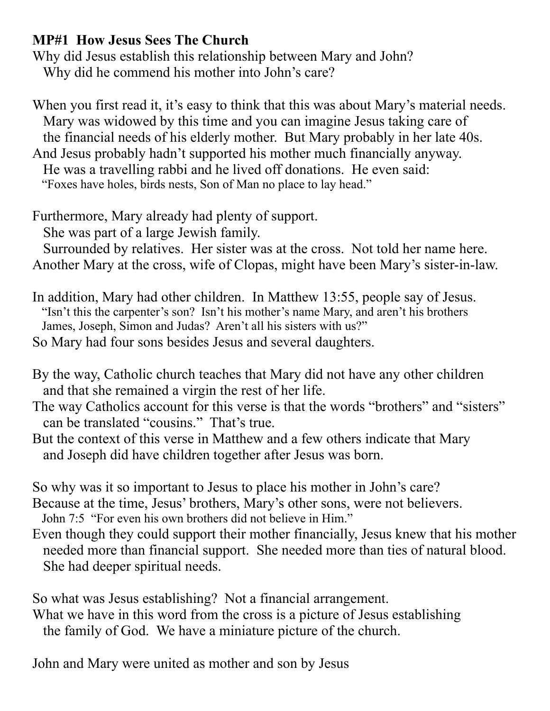## **MP#1 How Jesus Sees The Church**

Why did Jesus establish this relationship between Mary and John? Why did he commend his mother into John's care?

When you first read it, it's easy to think that this was about Mary's material needs. Mary was widowed by this time and you can imagine Jesus taking care of the financial needs of his elderly mother. But Mary probably in her late 40s. And Jesus probably hadn't supported his mother much financially anyway. He was a travelling rabbi and he lived off donations. He even said: "Foxes have holes, birds nests, Son of Man no place to lay head."

Furthermore, Mary already had plenty of support.

She was part of a large Jewish family.

 Surrounded by relatives. Her sister was at the cross. Not told her name here. Another Mary at the cross, wife of Clopas, might have been Mary's sister-in-law.

In addition, Mary had other children. In Matthew 13:55, people say of Jesus. "Isn't this the carpenter's son? Isn't his mother's name Mary, and aren't his brothers James, Joseph, Simon and Judas? Aren't all his sisters with us?" So Mary had four sons besides Jesus and several daughters.

By the way, Catholic church teaches that Mary did not have any other children and that she remained a virgin the rest of her life.

The way Catholics account for this verse is that the words "brothers" and "sisters" can be translated "cousins." That's true.

But the context of this verse in Matthew and a few others indicate that Mary and Joseph did have children together after Jesus was born.

So why was it so important to Jesus to place his mother in John's care?

Because at the time, Jesus' brothers, Mary's other sons, were not believers.

John 7:5 "For even his own brothers did not believe in Him."

Even though they could support their mother financially, Jesus knew that his mother needed more than financial support. She needed more than ties of natural blood. She had deeper spiritual needs.

So what was Jesus establishing? Not a financial arrangement. What we have in this word from the cross is a picture of Jesus establishing the family of God. We have a miniature picture of the church.

John and Mary were united as mother and son by Jesus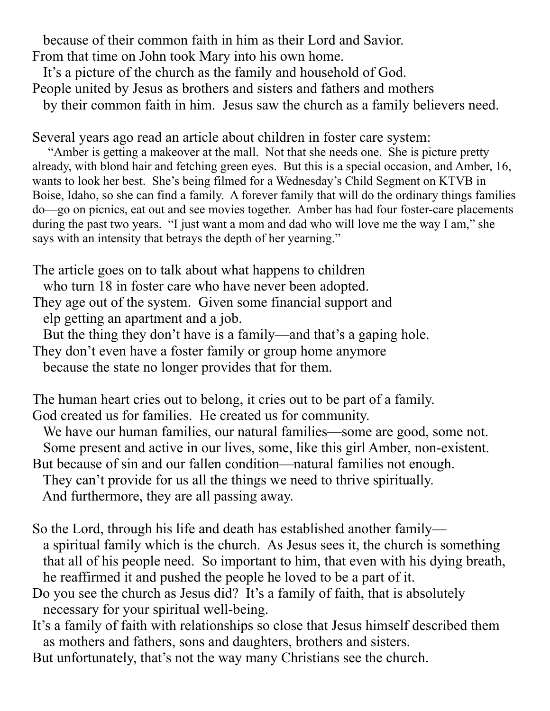because of their common faith in him as their Lord and Savior. From that time on John took Mary into his own home.

It's a picture of the church as the family and household of God.

People united by Jesus as brothers and sisters and fathers and mothers

by their common faith in him. Jesus saw the church as a family believers need.

Several years ago read an article about children in foster care system:

 "Amber is getting a makeover at the mall. Not that she needs one. She is picture pretty already, with blond hair and fetching green eyes. But this is a special occasion, and Amber, 16, wants to look her best. She's being filmed for a Wednesday's Child Segment on KTVB in Boise, Idaho, so she can find a family. A forever family that will do the ordinary things families do—go on picnics, eat out and see movies together. Amber has had four foster-care placements during the past two years. "I just want a mom and dad who will love me the way I am," she says with an intensity that betrays the depth of her yearning."

The article goes on to talk about what happens to children

who turn 18 in foster care who have never been adopted.

They age out of the system. Given some financial support and elp getting an apartment and a job.

But the thing they don't have is a family—and that's a gaping hole.

They don't even have a foster family or group home anymore

because the state no longer provides that for them.

The human heart cries out to belong, it cries out to be part of a family. God created us for families. He created us for community.

 We have our human families, our natural families—some are good, some not. Some present and active in our lives, some, like this girl Amber, non-existent.

But because of sin and our fallen condition—natural families not enough.

They can't provide for us all the things we need to thrive spiritually.

And furthermore, they are all passing away.

- So the Lord, through his life and death has established another family a spiritual family which is the church. As Jesus sees it, the church is something that all of his people need. So important to him, that even with his dying breath, he reaffirmed it and pushed the people he loved to be a part of it.
- Do you see the church as Jesus did? It's a family of faith, that is absolutely necessary for your spiritual well-being.
- It's a family of faith with relationships so close that Jesus himself described them as mothers and fathers, sons and daughters, brothers and sisters.
- But unfortunately, that's not the way many Christians see the church.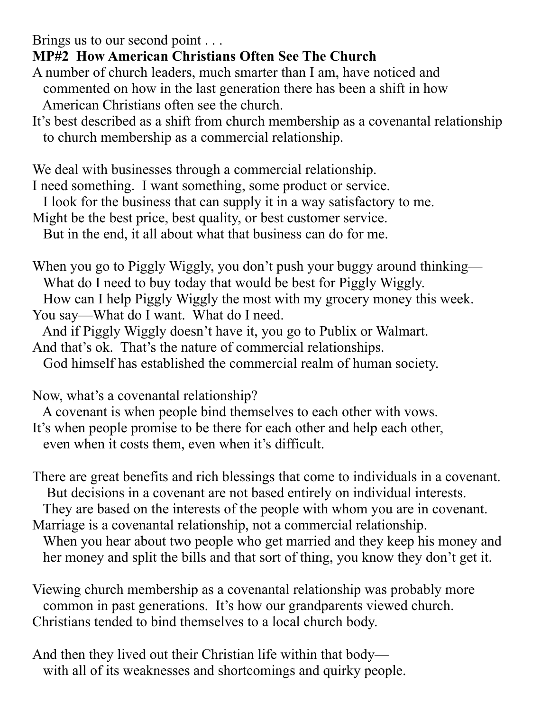Brings us to our second point . . .

## **MP#2 How American Christians Often See The Church**

- A number of church leaders, much smarter than I am, have noticed and commented on how in the last generation there has been a shift in how American Christians often see the church.
- It's best described as a shift from church membership as a covenantal relationship to church membership as a commercial relationship.

We deal with businesses through a commercial relationship.

I need something. I want something, some product or service.

I look for the business that can supply it in a way satisfactory to me.

Might be the best price, best quality, or best customer service.

But in the end, it all about what that business can do for me.

When you go to Piggly Wiggly, you don't push your buggy around thinking— What do I need to buy today that would be best for Piggly Wiggly.

 How can I help Piggly Wiggly the most with my grocery money this week. You say—What do I want. What do I need.

And if Piggly Wiggly doesn't have it, you go to Publix or Walmart.

And that's ok. That's the nature of commercial relationships.

God himself has established the commercial realm of human society.

Now, what's a covenantal relationship?

A covenant is when people bind themselves to each other with vows.

It's when people promise to be there for each other and help each other, even when it costs them, even when it's difficult.

There are great benefits and rich blessings that come to individuals in a covenant. But decisions in a covenant are not based entirely on individual interests.

They are based on the interests of the people with whom you are in covenant.

Marriage is a covenantal relationship, not a commercial relationship. When you hear about two people who get married and they keep his money and her money and split the bills and that sort of thing, you know they don't get it.

Viewing church membership as a covenantal relationship was probably more common in past generations. It's how our grandparents viewed church. Christians tended to bind themselves to a local church body.

And then they lived out their Christian life within that body with all of its weaknesses and shortcomings and quirky people.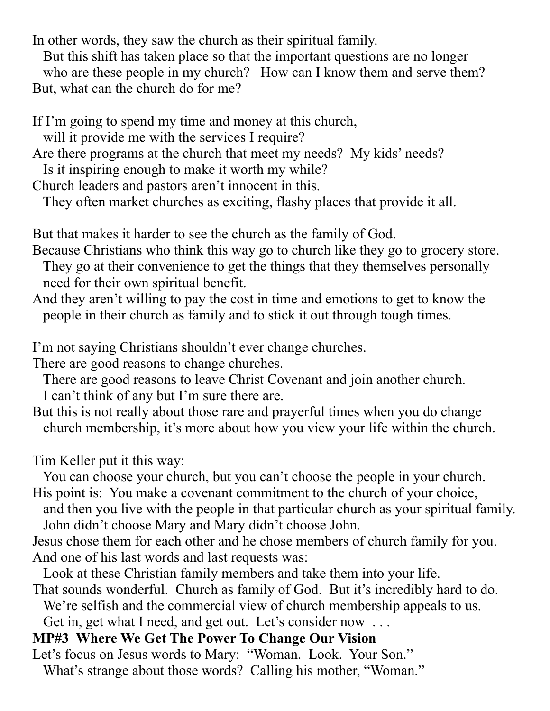In other words, they saw the church as their spiritual family.

 But this shift has taken place so that the important questions are no longer who are these people in my church? How can I know them and serve them? But, what can the church do for me?

If I'm going to spend my time and money at this church,

will it provide me with the services I require?

Are there programs at the church that meet my needs? My kids' needs?

Is it inspiring enough to make it worth my while?

Church leaders and pastors aren't innocent in this.

They often market churches as exciting, flashy places that provide it all.

But that makes it harder to see the church as the family of God.

Because Christians who think this way go to church like they go to grocery store.

 They go at their convenience to get the things that they themselves personally need for their own spiritual benefit.

And they aren't willing to pay the cost in time and emotions to get to know the people in their church as family and to stick it out through tough times.

I'm not saying Christians shouldn't ever change churches.

There are good reasons to change churches.

 There are good reasons to leave Christ Covenant and join another church. I can't think of any but I'm sure there are.

But this is not really about those rare and prayerful times when you do change church membership, it's more about how you view your life within the church.

Tim Keller put it this way:

 You can choose your church, but you can't choose the people in your church. His point is: You make a covenant commitment to the church of your choice,

- and then you live with the people in that particular church as your spiritual family. John didn't choose Mary and Mary didn't choose John.
- Jesus chose them for each other and he chose members of church family for you. And one of his last words and last requests was:
- Look at these Christian family members and take them into your life.
- That sounds wonderful. Church as family of God. But it's incredibly hard to do. We're selfish and the commercial view of church membership appeals to us.

Get in, get what I need, and get out. Let's consider now ...

## **MP#3 Where We Get The Power To Change Our Vision**

Let's focus on Jesus words to Mary: "Woman. Look. Your Son." What's strange about those words? Calling his mother, "Woman."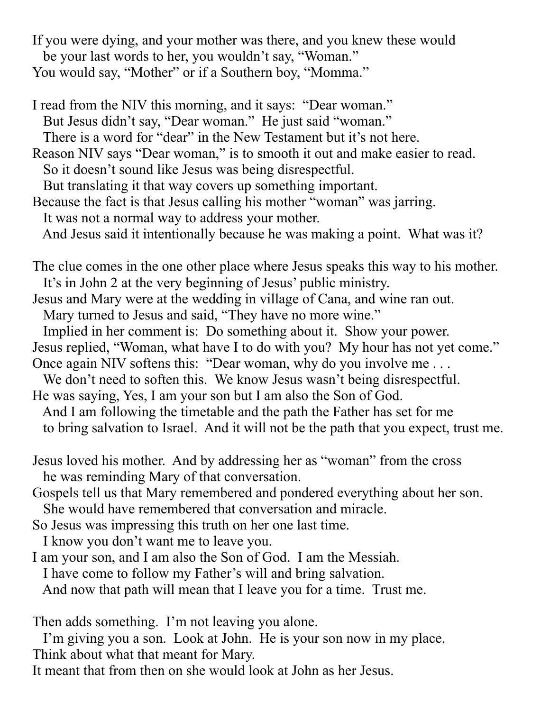If you were dying, and your mother was there, and you knew these would be your last words to her, you wouldn't say, "Woman." You would say, "Mother" or if a Southern boy, "Momma."

I read from the NIV this morning, and it says: "Dear woman." But Jesus didn't say, "Dear woman." He just said "woman." There is a word for "dear" in the New Testament but it's not here. Reason NIV says "Dear woman," is to smooth it out and make easier to read. So it doesn't sound like Jesus was being disrespectful. But translating it that way covers up something important. Because the fact is that Jesus calling his mother "woman" was jarring. It was not a normal way to address your mother. And Jesus said it intentionally because he was making a point. What was it?

The clue comes in the one other place where Jesus speaks this way to his mother. It's in John 2 at the very beginning of Jesus' public ministry.

Jesus and Mary were at the wedding in village of Cana, and wine ran out.

Mary turned to Jesus and said, "They have no more wine."

 Implied in her comment is: Do something about it. Show your power. Jesus replied, "Woman, what have I to do with you? My hour has not yet come."

Once again NIV softens this: "Dear woman, why do you involve me . . .

We don't need to soften this. We know Jesus wasn't being disrespectful. He was saying, Yes, I am your son but I am also the Son of God.

- And I am following the timetable and the path the Father has set for me to bring salvation to Israel. And it will not be the path that you expect, trust me.
- Jesus loved his mother. And by addressing her as "woman" from the cross he was reminding Mary of that conversation.
- Gospels tell us that Mary remembered and pondered everything about her son. She would have remembered that conversation and miracle.
- So Jesus was impressing this truth on her one last time.

I know you don't want me to leave you.

I am your son, and I am also the Son of God. I am the Messiah.

I have come to follow my Father's will and bring salvation.

And now that path will mean that I leave you for a time. Trust me.

Then adds something. I'm not leaving you alone.

 I'm giving you a son. Look at John. He is your son now in my place. Think about what that meant for Mary.

It meant that from then on she would look at John as her Jesus.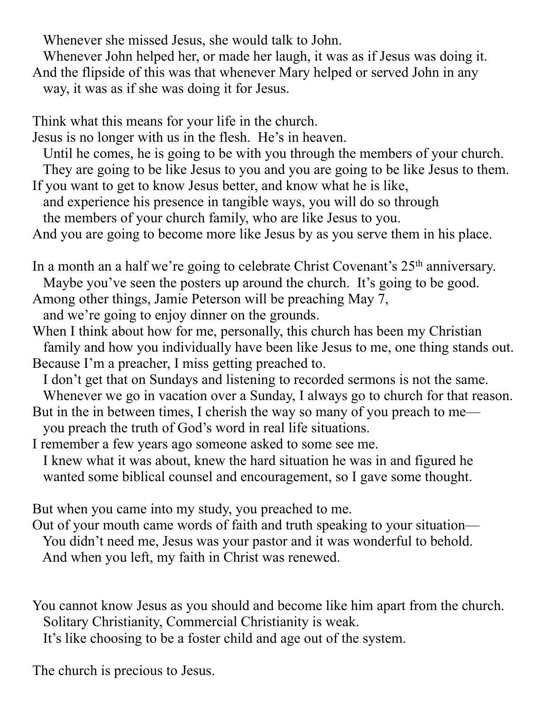Whenever she missed Jesus, she would talk to John.

 Whenever John helped her, or made her laugh, it was as if Jesus was doing it. And the flipside of this was that whenever Mary helped or served John in any way, it was as if she was doing it for Jesus.

Think what this means for your life in the church.

Jesus is no longer with us in the flesh. He's in heaven.

 Until he comes, he is going to be with you through the members of your church. They are going to be like Jesus to you and you are going to be like Jesus to them.

If you want to get to know Jesus better, and know what he is like, and experience his presence in tangible ways, you will do so through

the members of your church family, who are like Jesus to you.

And you are going to become more like Jesus by as you serve them in his place.

In a month an a half we're going to celebrate Christ Covenant's 25<sup>th</sup> anniversary. Maybe you've seen the posters up around the church. It's going to be good. Among other things, Jamie Peterson will be preaching May 7,

and we're going to enjoy dinner on the grounds.

When I think about how for me, personally, this church has been my Christian family and how you individually have been like Jesus to me, one thing stands out. Because I'm a preacher, I miss getting preached to.

 I don't get that on Sundays and listening to recorded sermons is not the same. Whenever we go in vacation over a Sunday, I always go to church for that reason.

But in the in between times, I cherish the way so many of you preach to me you preach the truth of God's word in real life situations.

I remember a few years ago someone asked to some see me.

 I knew what it was about, knew the hard situation he was in and figured he wanted some biblical counsel and encouragement, so I gave some thought.

But when you came into my study, you preached to me.

Out of your mouth came words of faith and truth speaking to your situation— You didn't need me, Jesus was your pastor and it was wonderful to behold. And when you left, my faith in Christ was renewed.

You cannot know Jesus as you should and become like him apart from the church. Solitary Christianity, Commercial Christianity is weak.

It's like choosing to be a foster child and age out of the system.

The church is precious to Jesus.